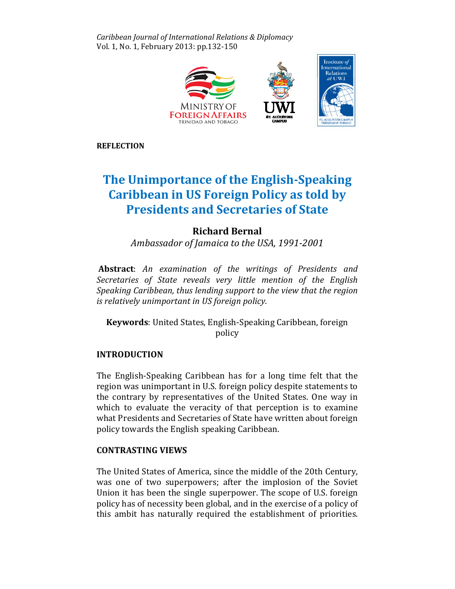Caribbean Journal of International Relations & Diplomacy Vol. 1, No. 1, February 2013: pp.132-150



**REFLECTION** 

# The Unimportance of the English English-Speaking Caribbean in US Foreign Policy as told by<br>Presidents and Secretaries of State Presidents and Secretaries of State

## Richard Bernal

Ambassador of Jamaica to the USA, 1991-2001

Abstract: An examination of the writings of Presidents and Secretaries of State reveals very little mention of the English Speaking Caribbean, thus lending support to the view that the region is relatively unimportant in US foreign policy.

Keywords: United States, English-Speaking Caribbean, foreign policy

## INTRODUCTION

The English-Speaking Caribbean has for a long time felt that the region was unimportant in U.S. foreign policy despite statements to the contrary by representatives of the United States. One way in which to evaluate the veracity of that perception is to examine what Presidents and Secretaries of State have written about foreign foreign policy towards the English speaking Caribbean.

## CONTRASTING VIEWS

The United States of America, since the middle of the 20th Century, was one of two superpowers; after the implosion of the Soviet Union it has been the single superpower. The scope of U.S. foreign policy has of necessity been global, and in the exercise of a policy of this ambit has naturally required the establishment of priorities.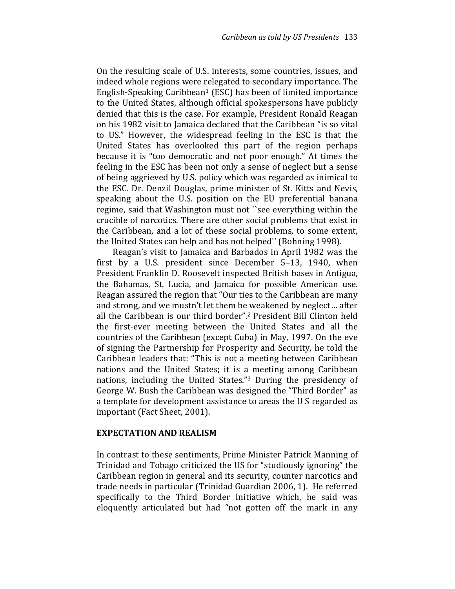On the resulting scale of U.S. interests, some countries, issues, and indeed whole regions were relegated to secondary importance. The English-Speaking Caribbean<sup>1</sup> (ESC) has been of limited importance to the United States, although official spokespersons have publicly denied that this is the case. For example, President Ronald Reagan on his 1982 visit to Jamaica declared that the Caribbean "is so vital to US." However, the widespread feeling in the ESC is that the United States has overlooked this part of the region perhaps because it is "too democratic and not poor enough." At times the feeling in the ESC has been not only a sense of neglect but a sense of being aggrieved by U.S. policy which was regarded as inimical to the ESC. Dr. Denzil Douglas, prime minister of St. Kitts and Nevis, speaking about the U.S. position on the EU preferential banana regime, said that Washington must not ``see everything within the crucible of narcotics. There are other social problems that exist in the Caribbean, and a lot of these social problems, to some extent, the United States can help and has not helped'' (Bohning 1998).

Reagan's visit to Jamaica and Barbados in April 1982 was the first by a U.S. president since December 5–13, 1940, when President Franklin D. Roosevelt inspected British bases in Antigua, the Bahamas, St. Lucia, and Jamaica for possible American use. Reagan assured the region that "Our ties to the Caribbean are many and strong, and we mustn't let them be weakened by neglect… after all the Caribbean is our third border".2 President Bill Clinton held the first-ever meeting between the United States and all the countries of the Caribbean (except Cuba) in May, 1997. On the eve of signing the Partnership for Prosperity and Security, he told the Caribbean leaders that: "This is not a meeting between Caribbean nations and the United States; it is a meeting among Caribbean nations, including the United States."3 During the presidency of George W. Bush the Caribbean was designed the "Third Border" as a template for development assistance to areas the U S regarded as important (Fact Sheet, 2001).

#### EXPECTATION AND REALISM

In contrast to these sentiments, Prime Minister Patrick Manning of Trinidad and Tobago criticized the US for "studiously ignoring" the Caribbean region in general and its security, counter narcotics and trade needs in particular (Trinidad Guardian 2006, 1). He referred specifically to the Third Border Initiative which, he said was eloquently articulated but had "not gotten off the mark in any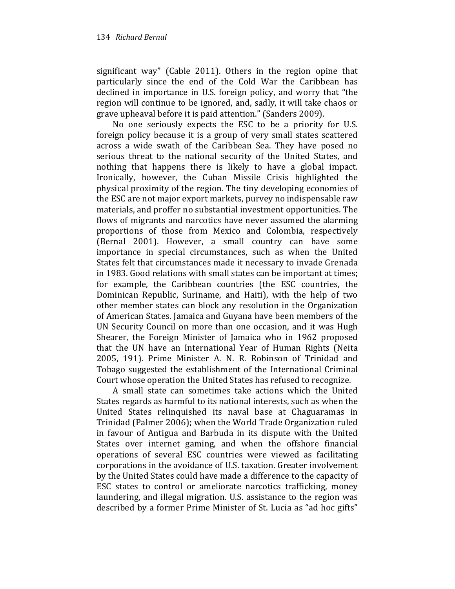significant way" (Cable 2011). Others in the region opine that particularly since the end of the Cold War the Caribbean has declined in importance in U.S. foreign policy, and worry that "the region will continue to be ignored, and, sadly, it will take chaos or grave upheaval before it is paid attention." (Sanders 2009).

No one seriously expects the ESC to be a priority for U.S. foreign policy because it is a group of very small states scattered across a wide swath of the Caribbean Sea. They have posed no serious threat to the national security of the United States, and nothing that happens there is likely to have a global impact. Ironically, however, the Cuban Missile Crisis highlighted the physical proximity of the region. The tiny developing economies of the ESC are not major export markets, purvey no indispensable raw materials, and proffer no substantial investment opportunities. The flows of migrants and narcotics have never assumed the alarming proportions of those from Mexico and Colombia, respectively (Bernal 2001). However, a small country can have some importance in special circumstances, such as when the United States felt that circumstances made it necessary to invade Grenada in 1983. Good relations with small states can be important at times; for example, the Caribbean countries (the ESC countries, the Dominican Republic, Suriname, and Haiti), with the help of two other member states can block any resolution in the Organization of American States. Jamaica and Guyana have been members of the UN Security Council on more than one occasion, and it was Hugh Shearer, the Foreign Minister of Jamaica who in 1962 proposed that the UN have an International Year of Human Rights (Neita 2005, 191). Prime Minister A. N. R. Robinson of Trinidad and Tobago suggested the establishment of the International Criminal Court whose operation the United States has refused to recognize.

A small state can sometimes take actions which the United States regards as harmful to its national interests, such as when the United States relinquished its naval base at Chaguaramas in Trinidad (Palmer 2006); when the World Trade Organization ruled in favour of Antigua and Barbuda in its dispute with the United States over internet gaming, and when the offshore financial operations of several ESC countries were viewed as facilitating corporations in the avoidance of U.S. taxation. Greater involvement by the United States could have made a difference to the capacity of ESC states to control or ameliorate narcotics trafficking, money laundering, and illegal migration. U.S. assistance to the region was described by a former Prime Minister of St. Lucia as "ad hoc gifts"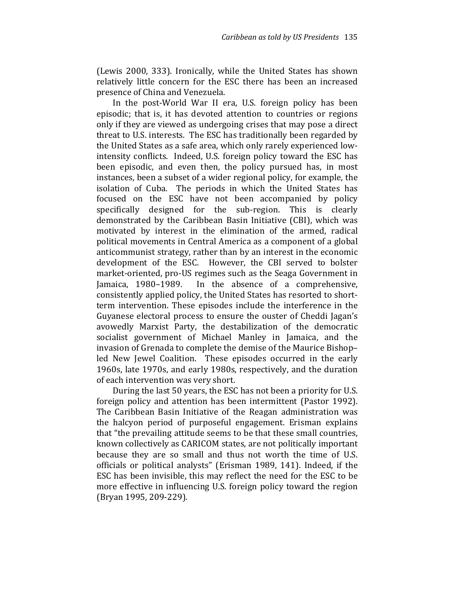(Lewis 2000, 333). Ironically, while the United States has shown relatively little concern for the ESC there has been an increased presence of China and Venezuela.

In the post-World War II era, U.S. foreign policy has been episodic; that is, it has devoted attention to countries or regions only if they are viewed as undergoing crises that may pose a direct threat to U.S. interests. The ESC has traditionally been regarded by the United States as a safe area, which only rarely experienced lowintensity conflicts. Indeed, U.S. foreign policy toward the ESC has been episodic, and even then, the policy pursued has, in most instances, been a subset of a wider regional policy, for example, the isolation of Cuba. The periods in which the United States has focused on the ESC have not been accompanied by policy specifically designed for the sub-region. This is clearly demonstrated by the Caribbean Basin Initiative (CBI), which was motivated by interest in the elimination of the armed, radical political movements in Central America as a component of a global anticommunist strategy, rather than by an interest in the economic development of the ESC. However, the CBI served to bolster market-oriented, pro-US regimes such as the Seaga Government in Jamaica, 1980–1989. In the absence of a comprehensive, consistently applied policy, the United States has resorted to shortterm intervention. These episodes include the interference in the Guyanese electoral process to ensure the ouster of Cheddi Jagan's avowedly Marxist Party, the destabilization of the democratic socialist government of Michael Manley in Jamaica, and the invasion of Grenada to complete the demise of the Maurice Bishop– led New Jewel Coalition. These episodes occurred in the early 1960s, late 1970s, and early 1980s, respectively, and the duration of each intervention was very short.

During the last 50 years, the ESC has not been a priority for U.S. foreign policy and attention has been intermittent (Pastor 1992). The Caribbean Basin Initiative of the Reagan administration was the halcyon period of purposeful engagement. Erisman explains that "the prevailing attitude seems to be that these small countries, known collectively as CARICOM states, are not politically important because they are so small and thus not worth the time of U.S. officials or political analysts" (Erisman 1989, 141). Indeed, if the ESC has been invisible, this may reflect the need for the ESC to be more effective in influencing U.S. foreign policy toward the region (Bryan 1995, 209-229).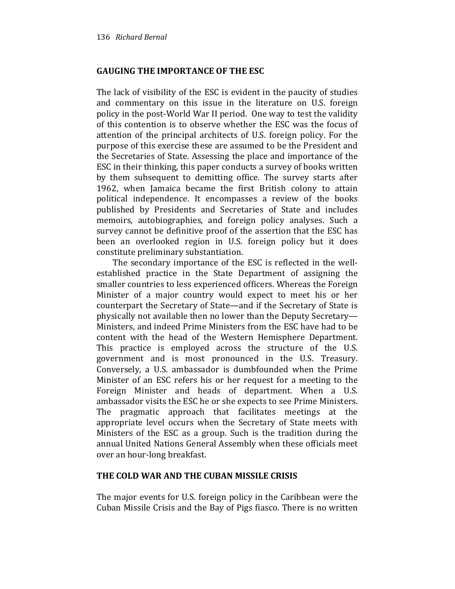## GAUGING THE IMPORTANCE OF THE ESC

The lack of visibility of the ESC is evident in the paucity of studies and commentary on this issue in the literature on U.S. foreign policy in the post-World War II period. One way to test the validity of this contention is to observe whether the ESC was the focus of attention of the principal architects of U.S. foreign policy. For the purpose of this exercise these are assumed to be the President and the Secretaries of State. Assessing the place and importance of the ESC in their thinking, this paper conducts a survey of books written by them subsequent to demitting office. The survey starts after 1962, when Jamaica became the first British colony to attain political independence. It encompasses a review of the books published by Presidents and Secretaries of State and includes memoirs, autobiographies, and foreign policy analyses. Such a survey cannot be definitive proof of the assertion that the ESC has been an overlooked region in U.S. foreign policy but it does constitute preliminary substantiation.

The secondary importance of the ESC is reflected in the wellestablished practice in the State Department of assigning the smaller countries to less experienced officers. Whereas the Foreign Minister of a major country would expect to meet his or her counterpart the Secretary of State—and if the Secretary of State is physically not available then no lower than the Deputy Secretary— Ministers, and indeed Prime Ministers from the ESC have had to be content with the head of the Western Hemisphere Department. This practice is employed across the structure of the U.S. government and is most pronounced in the U.S. Treasury. Conversely, a U.S. ambassador is dumbfounded when the Prime Minister of an ESC refers his or her request for a meeting to the Foreign Minister and heads of department. When a U.S. ambassador visits the ESC he or she expects to see Prime Ministers. The pragmatic approach that facilitates meetings at the appropriate level occurs when the Secretary of State meets with Ministers of the ESC as a group. Such is the tradition during the annual United Nations General Assembly when these officials meet over an hour-long breakfast.

## THE COLD WAR AND THE CUBAN MISSILE CRISIS

The major events for U.S. foreign policy in the Caribbean were the Cuban Missile Crisis and the Bay of Pigs fiasco. There is no written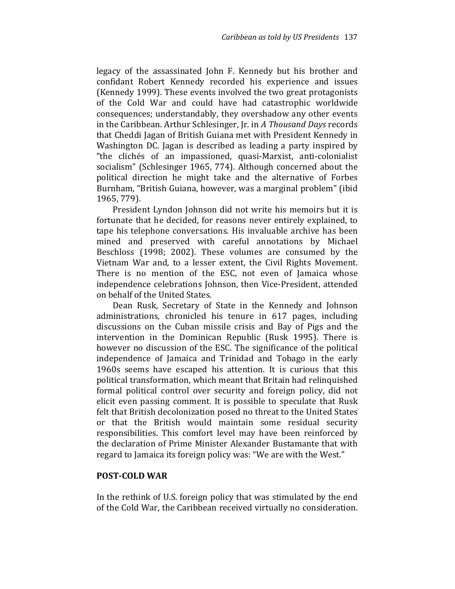legacy of the assassinated John F. Kennedy but his brother and confidant Robert Kennedy recorded his experience and issues (Kennedy 1999). These events involved the two great protagonists of the Cold War and could have had catastrophic worldwide consequences; understandably, they overshadow any other events in the Caribbean. Arthur Schlesinger, Jr. in A Thousand Days records that Cheddi Jagan of British Guiana met with President Kennedy in Washington DC. Jagan is described as leading a party inspired by "the clichés of an impassioned, quasi-Marxist, anti-colonialist socialism" (Schlesinger 1965, 774). Although concerned about the political direction he might take and the alternative of Forbes Burnham, "British Guiana, however, was a marginal problem" (ibid 1965, 779).

President Lyndon Johnson did not write his memoirs but it is fortunate that he decided, for reasons never entirely explained, to tape his telephone conversations. His invaluable archive has been mined and preserved with careful annotations by Michael Beschloss (1998; 2002). These volumes are consumed by the Vietnam War and, to a lesser extent, the Civil Rights Movement. There is no mention of the ESC, not even of Jamaica whose independence celebrations Johnson, then Vice-President, attended on behalf of the United States.

Dean Rusk, Secretary of State in the Kennedy and Johnson administrations, chronicled his tenure in 617 pages, including discussions on the Cuban missile crisis and Bay of Pigs and the intervention in the Dominican Republic (Rusk 1995). There is however no discussion of the ESC. The significance of the political independence of Jamaica and Trinidad and Tobago in the early 1960s seems have escaped his attention. It is curious that this political transformation, which meant that Britain had relinquished formal political control over security and foreign policy, did not elicit even passing comment. It is possible to speculate that Rusk felt that British decolonization posed no threat to the United States or that the British would maintain some residual security responsibilities. This comfort level may have been reinforced by the declaration of Prime Minister Alexander Bustamante that with regard to Jamaica its foreign policy was: "We are with the West."

#### POST-COLD WAR

In the rethink of U.S. foreign policy that was stimulated by the end of the Cold War, the Caribbean received virtually no consideration.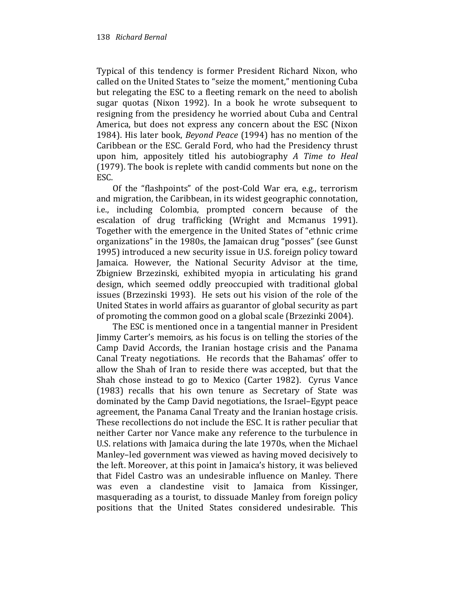Typical of this tendency is former President Richard Nixon, who called on the United States to "seize the moment," mentioning Cuba but relegating the ESC to a fleeting remark on the need to abolish sugar quotas (Nixon 1992). In a book he wrote subsequent to resigning from the presidency he worried about Cuba and Central America, but does not express any concern about the ESC (Nixon 1984). His later book, Beyond Peace (1994) has no mention of the Caribbean or the ESC. Gerald Ford, who had the Presidency thrust upon him, appositely titled his autobiography A Time to Heal (1979). The book is replete with candid comments but none on the ESC.

Of the "flashpoints" of the post-Cold War era, e.g., terrorism and migration, the Caribbean, in its widest geographic connotation, i.e., including Colombia, prompted concern because of the escalation of drug trafficking (Wright and Mcmanus 1991). Together with the emergence in the United States of "ethnic crime organizations" in the 1980s, the Jamaican drug "posses" (see Gunst 1995) introduced a new security issue in U.S. foreign policy toward Jamaica. However, the National Security Advisor at the time, Zbigniew Brzezinski, exhibited myopia in articulating his grand design, which seemed oddly preoccupied with traditional global issues (Brzezinski 1993). He sets out his vision of the role of the United States in world affairs as guarantor of global security as part of promoting the common good on a global scale (Brzezinki 2004).

The ESC is mentioned once in a tangential manner in President Jimmy Carter's memoirs, as his focus is on telling the stories of the Camp David Accords, the Iranian hostage crisis and the Panama Canal Treaty negotiations. He records that the Bahamas' offer to allow the Shah of Iran to reside there was accepted, but that the Shah chose instead to go to Mexico (Carter 1982). Cyrus Vance (1983) recalls that his own tenure as Secretary of State was dominated by the Camp David negotiations, the Israel–Egypt peace agreement, the Panama Canal Treaty and the Iranian hostage crisis. These recollections do not include the ESC. It is rather peculiar that neither Carter nor Vance make any reference to the turbulence in U.S. relations with Jamaica during the late 1970s, when the Michael Manley–led government was viewed as having moved decisively to the left. Moreover, at this point in Jamaica's history, it was believed that Fidel Castro was an undesirable influence on Manley. There was even a clandestine visit to Jamaica from Kissinger, masquerading as a tourist, to dissuade Manley from foreign policy positions that the United States considered undesirable. This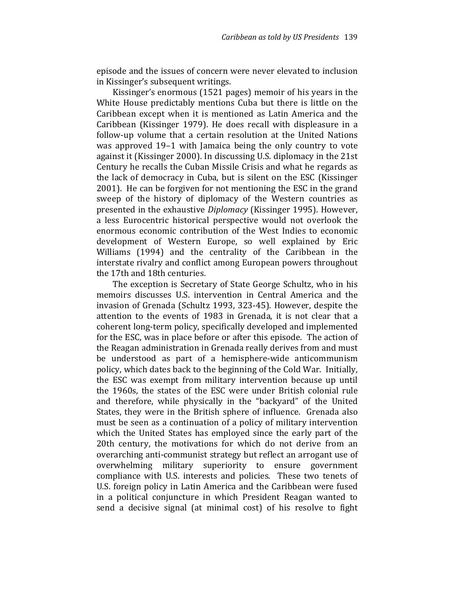episode and the issues of concern were never elevated to inclusion in Kissinger's subsequent writings.

Kissinger's enormous (1521 pages) memoir of his years in the White House predictably mentions Cuba but there is little on the Caribbean except when it is mentioned as Latin America and the Caribbean (Kissinger 1979). He does recall with displeasure in a follow-up volume that a certain resolution at the United Nations was approved 19–1 with Jamaica being the only country to vote against it (Kissinger 2000). In discussing U.S. diplomacy in the 21st Century he recalls the Cuban Missile Crisis and what he regards as the lack of democracy in Cuba, but is silent on the ESC (Kissinger 2001). He can be forgiven for not mentioning the ESC in the grand sweep of the history of diplomacy of the Western countries as presented in the exhaustive Diplomacy (Kissinger 1995). However, a less Eurocentric historical perspective would not overlook the enormous economic contribution of the West Indies to economic development of Western Europe, so well explained by Eric Williams (1994) and the centrality of the Caribbean in the interstate rivalry and conflict among European powers throughout the 17th and 18th centuries.

The exception is Secretary of State George Schultz, who in his memoirs discusses U.S. intervention in Central America and the invasion of Grenada (Schultz 1993, 323-45). However, despite the attention to the events of 1983 in Grenada, it is not clear that a coherent long-term policy, specifically developed and implemented for the ESC, was in place before or after this episode. The action of the Reagan administration in Grenada really derives from and must be understood as part of a hemisphere-wide anticommunism policy, which dates back to the beginning of the Cold War. Initially, the ESC was exempt from military intervention because up until the 1960s, the states of the ESC were under British colonial rule and therefore, while physically in the "backyard" of the United States, they were in the British sphere of influence. Grenada also must be seen as a continuation of a policy of military intervention which the United States has employed since the early part of the 20th century, the motivations for which do not derive from an overarching anti-communist strategy but reflect an arrogant use of overwhelming military superiority to ensure government compliance with U.S. interests and policies. These two tenets of U.S. foreign policy in Latin America and the Caribbean were fused in a political conjuncture in which President Reagan wanted to send a decisive signal (at minimal cost) of his resolve to fight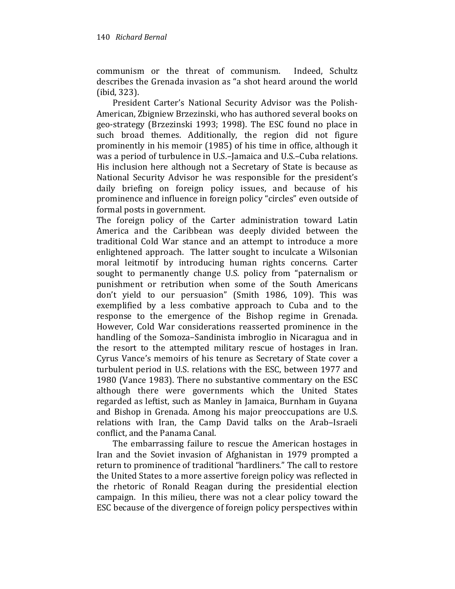communism or the threat of communism. Indeed, Schultz describes the Grenada invasion as "a shot heard around the world (ibid, 323).

President Carter's National Security Advisor was the Polish-American, Zbigniew Brzezinski, who has authored several books on geo-strategy (Brzezinski 1993; 1998). The ESC found no place in such broad themes. Additionally, the region did not figure prominently in his memoir (1985) of his time in office, although it was a period of turbulence in U.S.–Jamaica and U.S.–Cuba relations. His inclusion here although not a Secretary of State is because as National Security Advisor he was responsible for the president's daily briefing on foreign policy issues, and because of his prominence and influence in foreign policy "circles" even outside of formal posts in government.

The foreign policy of the Carter administration toward Latin America and the Caribbean was deeply divided between the traditional Cold War stance and an attempt to introduce a more enlightened approach. The latter sought to inculcate a Wilsonian moral leitmotif by introducing human rights concerns. Carter sought to permanently change U.S. policy from "paternalism or punishment or retribution when some of the South Americans don't yield to our persuasion" (Smith 1986, 109). This was exemplified by a less combative approach to Cuba and to the response to the emergence of the Bishop regime in Grenada. However, Cold War considerations reasserted prominence in the handling of the Somoza–Sandinista imbroglio in Nicaragua and in the resort to the attempted military rescue of hostages in Iran. Cyrus Vance's memoirs of his tenure as Secretary of State cover a turbulent period in U.S. relations with the ESC, between 1977 and 1980 (Vance 1983). There no substantive commentary on the ESC although there were governments which the United States regarded as leftist, such as Manley in Jamaica, Burnham in Guyana and Bishop in Grenada. Among his major preoccupations are U.S. relations with Iran, the Camp David talks on the Arab–Israeli conflict, and the Panama Canal.

The embarrassing failure to rescue the American hostages in Iran and the Soviet invasion of Afghanistan in 1979 prompted a return to prominence of traditional "hardliners." The call to restore the United States to a more assertive foreign policy was reflected in the rhetoric of Ronald Reagan during the presidential election campaign. In this milieu, there was not a clear policy toward the ESC because of the divergence of foreign policy perspectives within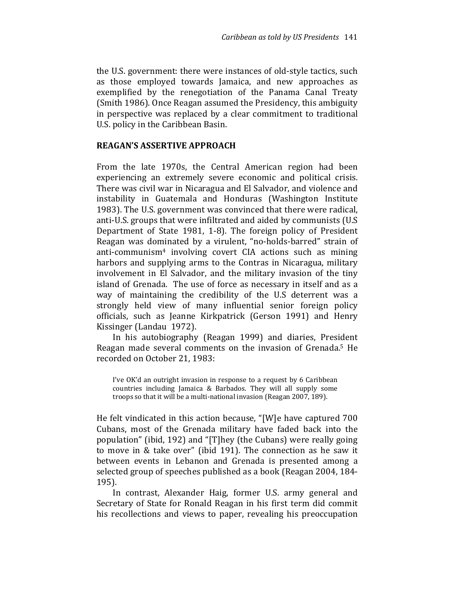the U.S. government: there were instances of old-style tactics, such as those employed towards Jamaica, and new approaches as exemplified by the renegotiation of the Panama Canal Treaty (Smith 1986). Once Reagan assumed the Presidency, this ambiguity in perspective was replaced by a clear commitment to traditional U.S. policy in the Caribbean Basin.

#### REAGAN'S ASSERTIVE APPROACH

From the late 1970s, the Central American region had been experiencing an extremely severe economic and political crisis. There was civil war in Nicaragua and El Salvador, and violence and instability in Guatemala and Honduras (Washington Institute 1983). The U.S. government was convinced that there were radical, anti-U.S. groups that were infiltrated and aided by communists (U.S Department of State 1981, 1-8). The foreign policy of President Reagan was dominated by a virulent, "no-holds-barred" strain of anti-communism4 involving covert CIA actions such as mining harbors and supplying arms to the Contras in Nicaragua, military involvement in El Salvador, and the military invasion of the tiny island of Grenada. The use of force as necessary in itself and as a way of maintaining the credibility of the U.S deterrent was a strongly held view of many influential senior foreign policy officials, such as Jeanne Kirkpatrick (Gerson 1991) and Henry Kissinger (Landau 1972).

In his autobiography (Reagan 1999) and diaries, President Reagan made several comments on the invasion of Grenada.5 He recorded on October 21, 1983:

I've OK'd an outright invasion in response to a request by 6 Caribbean countries including Jamaica & Barbados. They will all supply some troops so that it will be a multi-national invasion (Reagan 2007, 189).

He felt vindicated in this action because, "[W]e have captured 700 Cubans, most of the Grenada military have faded back into the population" (ibid, 192) and "[T]hey (the Cubans) were really going to move in & take over" (ibid 191). The connection as he saw it between events in Lebanon and Grenada is presented among a selected group of speeches published as a book (Reagan 2004, 184- 195).

In contrast, Alexander Haig, former U.S. army general and Secretary of State for Ronald Reagan in his first term did commit his recollections and views to paper, revealing his preoccupation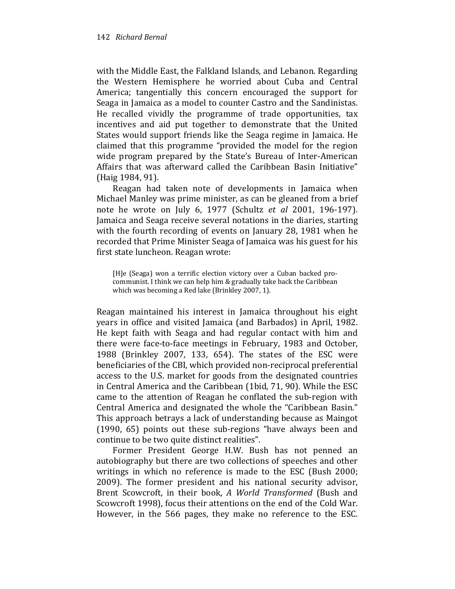with the Middle East, the Falkland Islands, and Lebanon. Regarding the Western Hemisphere he worried about Cuba and Central America; tangentially this concern encouraged the support for Seaga in Jamaica as a model to counter Castro and the Sandinistas. He recalled vividly the programme of trade opportunities, tax incentives and aid put together to demonstrate that the United States would support friends like the Seaga regime in Jamaica. He claimed that this programme "provided the model for the region wide program prepared by the State's Bureau of Inter-American Affairs that was afterward called the Caribbean Basin Initiative" (Haig 1984, 91).

Reagan had taken note of developments in Jamaica when Michael Manley was prime minister, as can be gleaned from a brief note he wrote on July 6, 1977 (Schultz et al 2001, 196-197). Jamaica and Seaga receive several notations in the diaries, starting with the fourth recording of events on January 28, 1981 when he recorded that Prime Minister Seaga of Jamaica was his guest for his first state luncheon. Reagan wrote:

[H]e (Seaga) won a terrific election victory over a Cuban backed procommunist. I think we can help him & gradually take back the Caribbean which was becoming a Red lake (Brinkley 2007, 1).

Reagan maintained his interest in Jamaica throughout his eight years in office and visited Jamaica (and Barbados) in April, 1982. He kept faith with Seaga and had regular contact with him and there were face-to-face meetings in February, 1983 and October, 1988 (Brinkley 2007, 133, 654). The states of the ESC were beneficiaries of the CBI, which provided non-reciprocal preferential access to the U.S. market for goods from the designated countries in Central America and the Caribbean (1bid, 71, 90). While the ESC came to the attention of Reagan he conflated the sub-region with Central America and designated the whole the "Caribbean Basin." This approach betrays a lack of understanding because as Maingot (1990, 65) points out these sub-regions "have always been and continue to be two quite distinct realities".

Former President George H.W. Bush has not penned an autobiography but there are two collections of speeches and other writings in which no reference is made to the ESC (Bush 2000; 2009). The former president and his national security advisor, Brent Scowcroft, in their book, A World Transformed (Bush and Scowcroft 1998), focus their attentions on the end of the Cold War. However, in the 566 pages, they make no reference to the ESC.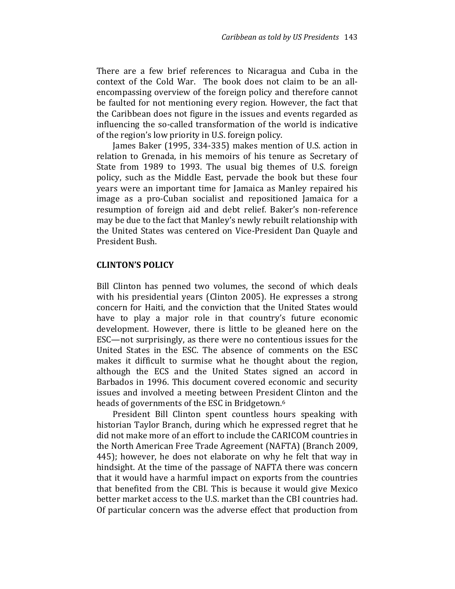There are a few brief references to Nicaragua and Cuba in the context of the Cold War. The book does not claim to be an allencompassing overview of the foreign policy and therefore cannot be faulted for not mentioning every region. However, the fact that the Caribbean does not figure in the issues and events regarded as influencing the so-called transformation of the world is indicative of the region's low priority in U.S. foreign policy.

James Baker (1995, 334-335) makes mention of U.S. action in relation to Grenada, in his memoirs of his tenure as Secretary of State from 1989 to 1993. The usual big themes of U.S. foreign policy, such as the Middle East, pervade the book but these four years were an important time for Jamaica as Manley repaired his image as a pro-Cuban socialist and repositioned Jamaica for a resumption of foreign aid and debt relief. Baker's non-reference may be due to the fact that Manley's newly rebuilt relationship with the United States was centered on Vice-President Dan Quayle and President Bush.

### CLINTON'S POLICY

Bill Clinton has penned two volumes, the second of which deals with his presidential years (Clinton 2005). He expresses a strong concern for Haiti, and the conviction that the United States would have to play a major role in that country's future economic development. However, there is little to be gleaned here on the ESC—not surprisingly, as there were no contentious issues for the United States in the ESC. The absence of comments on the ESC makes it difficult to surmise what he thought about the region, although the ECS and the United States signed an accord in Barbados in 1996. This document covered economic and security issues and involved a meeting between President Clinton and the heads of governments of the ESC in Bridgetown.<sup>6</sup>

President Bill Clinton spent countless hours speaking with historian Taylor Branch, during which he expressed regret that he did not make more of an effort to include the CARICOM countries in the North American Free Trade Agreement (NAFTA) (Branch 2009, 445); however, he does not elaborate on why he felt that way in hindsight. At the time of the passage of NAFTA there was concern that it would have a harmful impact on exports from the countries that benefited from the CBI. This is because it would give Mexico better market access to the U.S. market than the CBI countries had. Of particular concern was the adverse effect that production from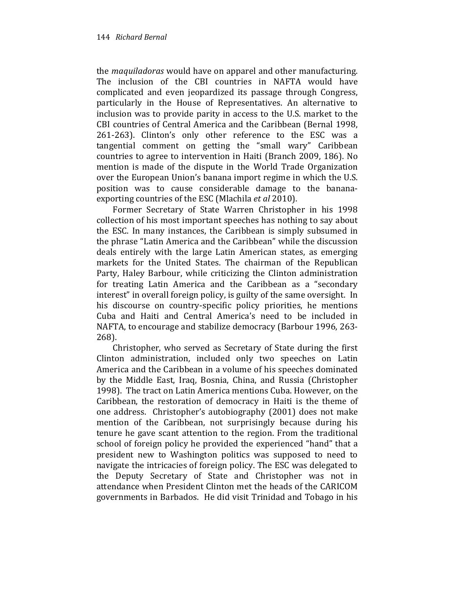the maquiladoras would have on apparel and other manufacturing. The inclusion of the CBI countries in NAFTA would have complicated and even jeopardized its passage through Congress, particularly in the House of Representatives. An alternative to inclusion was to provide parity in access to the U.S. market to the CBI countries of Central America and the Caribbean (Bernal 1998, 261-263). Clinton's only other reference to the ESC was a tangential comment on getting the "small wary" Caribbean countries to agree to intervention in Haiti (Branch 2009, 186). No mention is made of the dispute in the World Trade Organization over the European Union's banana import regime in which the U.S. position was to cause considerable damage to the bananaexporting countries of the ESC (Mlachila et al 2010).

Former Secretary of State Warren Christopher in his 1998 collection of his most important speeches has nothing to say about the ESC. In many instances, the Caribbean is simply subsumed in the phrase "Latin America and the Caribbean" while the discussion deals entirely with the large Latin American states, as emerging markets for the United States. The chairman of the Republican Party, Haley Barbour, while criticizing the Clinton administration for treating Latin America and the Caribbean as a "secondary interest" in overall foreign policy, is guilty of the same oversight. In his discourse on country-specific policy priorities, he mentions Cuba and Haiti and Central America's need to be included in NAFTA, to encourage and stabilize democracy (Barbour 1996, 263- 268).

Christopher, who served as Secretary of State during the first Clinton administration, included only two speeches on Latin America and the Caribbean in a volume of his speeches dominated by the Middle East, Iraq, Bosnia, China, and Russia (Christopher 1998). The tract on Latin America mentions Cuba. However, on the Caribbean, the restoration of democracy in Haiti is the theme of one address. Christopher's autobiography (2001) does not make mention of the Caribbean, not surprisingly because during his tenure he gave scant attention to the region. From the traditional school of foreign policy he provided the experienced "hand" that a president new to Washington politics was supposed to need to navigate the intricacies of foreign policy. The ESC was delegated to the Deputy Secretary of State and Christopher was not in attendance when President Clinton met the heads of the CARICOM governments in Barbados. He did visit Trinidad and Tobago in his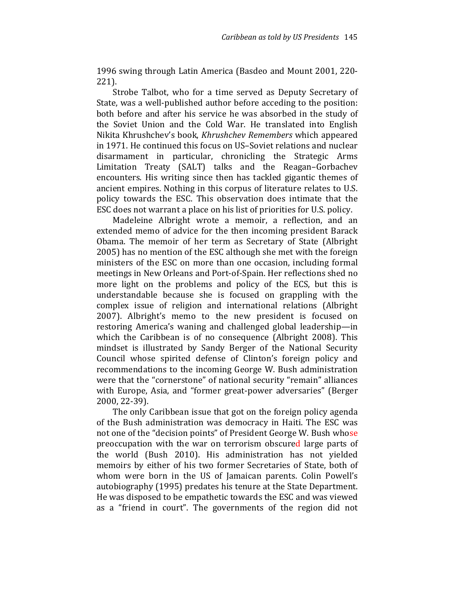1996 swing through Latin America (Basdeo and Mount 2001, 220- 221).

Strobe Talbot, who for a time served as Deputy Secretary of State, was a well-published author before acceding to the position: both before and after his service he was absorbed in the study of the Soviet Union and the Cold War. He translated into English Nikita Khrushchev's book, Khrushchev Remembers which appeared in 1971. He continued this focus on US–Soviet relations and nuclear disarmament in particular, chronicling the Strategic Arms Limitation Treaty (SALT) talks and the Reagan–Gorbachev encounters. His writing since then has tackled gigantic themes of ancient empires. Nothing in this corpus of literature relates to U.S. policy towards the ESC. This observation does intimate that the ESC does not warrant a place on his list of priorities for U.S. policy.

Madeleine Albright wrote a memoir, a reflection, and an extended memo of advice for the then incoming president Barack Obama. The memoir of her term as Secretary of State (Albright 2005) has no mention of the ESC although she met with the foreign ministers of the ESC on more than one occasion, including formal meetings in New Orleans and Port-of-Spain. Her reflections shed no more light on the problems and policy of the ECS, but this is understandable because she is focused on grappling with the complex issue of religion and international relations (Albright 2007). Albright's memo to the new president is focused on restoring America's waning and challenged global leadership—in which the Caribbean is of no consequence (Albright 2008). This mindset is illustrated by Sandy Berger of the National Security Council whose spirited defense of Clinton's foreign policy and recommendations to the incoming George W. Bush administration were that the "cornerstone" of national security "remain" alliances with Europe, Asia, and "former great-power adversaries" (Berger 2000, 22-39).

The only Caribbean issue that got on the foreign policy agenda of the Bush administration was democracy in Haiti. The ESC was not one of the "decision points" of President George W. Bush whose preoccupation with the war on terrorism obscured large parts of the world (Bush 2010). His administration has not yielded memoirs by either of his two former Secretaries of State, both of whom were born in the US of Jamaican parents. Colin Powell's autobiography (1995) predates his tenure at the State Department. He was disposed to be empathetic towards the ESC and was viewed as a "friend in court". The governments of the region did not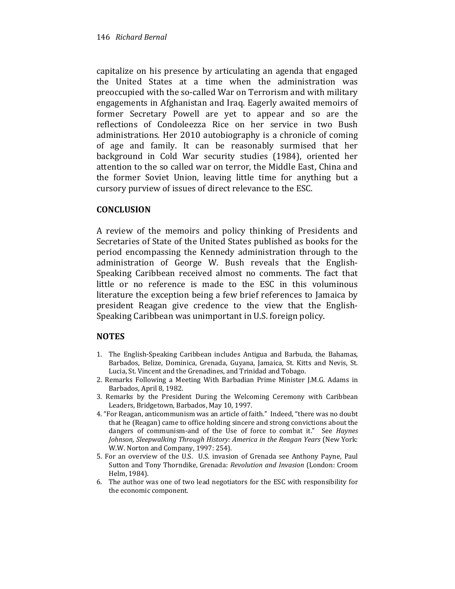capitalize on his presence by articulating an agenda that engaged the United States at a time when the administration was preoccupied with the so-called War on Terrorism and with military engagements in Afghanistan and Iraq. Eagerly awaited memoirs of former Secretary Powell are yet to appear and so are the reflections of Condoleezza Rice on her service in two Bush administrations. Her 2010 autobiography is a chronicle of coming of age and family. It can be reasonably surmised that her background in Cold War security studies (1984), oriented her attention to the so called war on terror, the Middle East, China and the former Soviet Union, leaving little time for anything but a cursory purview of issues of direct relevance to the ESC.

## **CONCLUSION**

A review of the memoirs and policy thinking of Presidents and Secretaries of State of the United States published as books for the period encompassing the Kennedy administration through to the administration of George W. Bush reveals that the English-Speaking Caribbean received almost no comments. The fact that little or no reference is made to the ESC in this voluminous literature the exception being a few brief references to Jamaica by president Reagan give credence to the view that the English-Speaking Caribbean was unimportant in U.S. foreign policy.

## **NOTES**

- 1. The English-Speaking Caribbean includes Antigua and Barbuda, the Bahamas, Barbados, Belize, Dominica, Grenada, Guyana, Jamaica, St. Kitts and Nevis, St. Lucia, St. Vincent and the Grenadines, and Trinidad and Tobago.
- 2. Remarks Following a Meeting With Barbadian Prime Minister J.M.G. Adams in Barbados, April 8, 1982.
- 3. Remarks by the President During the Welcoming Ceremony with Caribbean Leaders, Bridgetown, Barbados, May 10, 1997.
- 4. "For Reagan, anticommunism was an article of faith." Indeed, "there was no doubt that he (Reagan) came to office holding sincere and strong convictions about the dangers of communism-and of the Use of force to combat it." See Haynes Johnson, Sleepwalking Through History: America in the Reagan Years (New York: W.W. Norton and Company, 1997: 254).
- 5. For an overview of the U.S. U.S. invasion of Grenada see Anthony Payne, Paul Sutton and Tony Thorndike, Grenada: Revolution and Invasion (London: Croom Helm, 1984).
- 6. The author was one of two lead negotiators for the ESC with responsibility for the economic component.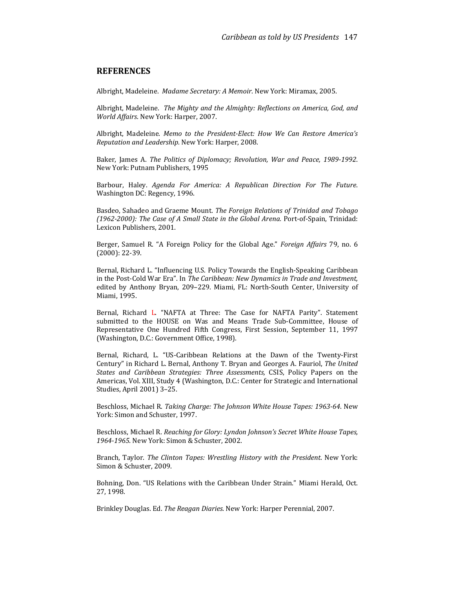#### **REFERENCES**

Albright, Madeleine. Madame Secretary: A Memoir. New York: Miramax, 2005.

Albright, Madeleine. The Mighty and the Almighty: Reflections on America, God, and World Affairs. New York: Harper, 2007.

Albright, Madeleine. Memo to the President-Elect: How We Can Restore America's Reputation and Leadership. New York: Harper, 2008.

Baker, James A. The Politics of Diplomacy; Revolution, War and Peace, 1989-1992. New York: Putnam Publishers, 1995

Barbour, Haley. Agenda For America: A Republican Direction For The Future. Washington DC: Regency, 1996.

Basdeo, Sahadeo and Graeme Mount. The Foreign Relations of Trinidad and Tobago (1962-2000): The Case of A Small State in the Global Arena. Port-of-Spain, Trinidad: Lexicon Publishers, 2001.

Berger, Samuel R. "A Foreign Policy for the Global Age." Foreign Affairs 79, no. 6 (2000): 22-39.

Bernal, Richard L. "Influencing U.S. Policy Towards the English-Speaking Caribbean in the Post-Cold War Era". In The Caribbean: New Dynamics in Trade and Investment, edited by Anthony Bryan, 209–229. Miami, FL: North-South Center, University of Miami, 1995.

Bernal, Richard L. "NAFTA at Three: The Case for NAFTA Parity". Statement submitted to the HOUSE on Was and Means Trade Sub-Committee, House of Representative One Hundred Fifth Congress, First Session, September 11, 1997 (Washington, D.C.: Government Office, 1998).

Bernal, Richard, L. "US-Caribbean Relations at the Dawn of the Twenty-First Century" in Richard L. Bernal, Anthony T. Bryan and Georges A. Fauriol, The United States and Caribbean Strategies: Three Assessments, CSIS, Policy Papers on the Americas, Vol. XIII, Study 4 (Washington, D.C.: Center for Strategic and International Studies, April 2001) 3–25.

Beschloss, Michael R. Taking Charge: The Johnson White House Tapes: 1963-64. New York: Simon and Schuster, 1997.

Beschloss, Michael R. Reaching for Glory: Lyndon Johnson's Secret White House Tapes, 1964-1965. New York: Simon & Schuster, 2002.

Branch, Taylor. The Clinton Tapes: Wrestling History with the President. New York: Simon & Schuster, 2009.

Bohning, Don. "US Relations with the Caribbean Under Strain." Miami Herald, Oct. 27, 1998.

Brinkley Douglas. Ed. The Reagan Diaries. New York: Harper Perennial, 2007.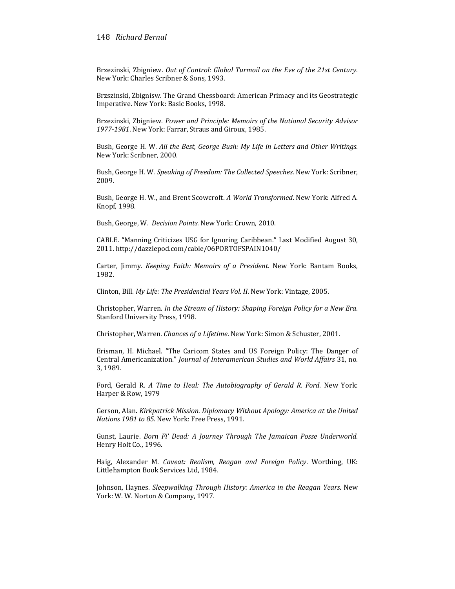#### 148 Richard Bernal

Brzezinski, Zbigniew. Out of Control: Global Turmoil on the Eve of the 21st Century. New York: Charles Scribner & Sons, 1993.

Brzszinski, Zbignisw. The Grand Chessboard: American Primacy and its Geostrategic Imperative. New York: Basic Books, 1998.

Brzezinski, Zbigniew. Power and Principle: Memoirs of the National Security Advisor 1977-1981. New York: Farrar, Straus and Giroux, 1985.

Bush, George H. W. All the Best, George Bush: My Life in Letters and Other Writings. New York: Scribner, 2000.

Bush, George H. W. Speaking of Freedom: The Collected Speeches. New York: Scribner, 2009.

Bush, George H. W., and Brent Scowcroft. A World Transformed. New York: Alfred A. Knopf, 1998.

Bush, George, W. Decision Points. New York: Crown, 2010.

CABLE. "Manning Criticizes USG for Ignoring Caribbean." Last Modified August 30, 2011. http://dazzlepod.com/cable/06PORTOFSPAIN1040/

Carter, Jimmy. Keeping Faith: Memoirs of a President. New York: Bantam Books, 1982.

Clinton, Bill. My Life: The Presidential Years Vol. II. New York: Vintage, 2005.

Christopher, Warren. In the Stream of History: Shaping Foreign Policy for a New Era. Stanford University Press, 1998.

Christopher, Warren. Chances of a Lifetime. New York: Simon & Schuster, 2001.

Erisman, H. Michael. "The Caricom States and US Foreign Policy: The Danger of Central Americanization." Journal of Interamerican Studies and World Affairs 31, no. 3, 1989.

Ford, Gerald R. A Time to Heal: The Autobiography of Gerald R. Ford. New York: Harper & Row, 1979

Gerson, Alan. Kirkpatrick Mission. Diplomacy Without Apology: America at the United Nations 1981 to 85. New York: Free Press, 1991.

Gunst, Laurie. Born Fi' Dead: A Journey Through The Jamaican Posse Underworld. Henry Holt Co., 1996.

Haig, Alexander M. Caveat: Realism, Reagan and Foreign Policy. Worthing, UK: Littlehampton Book Services Ltd, 1984.

Johnson, Haynes. Sleepwalking Through History: America in the Reagan Years. New York: W. W. Norton & Company, 1997.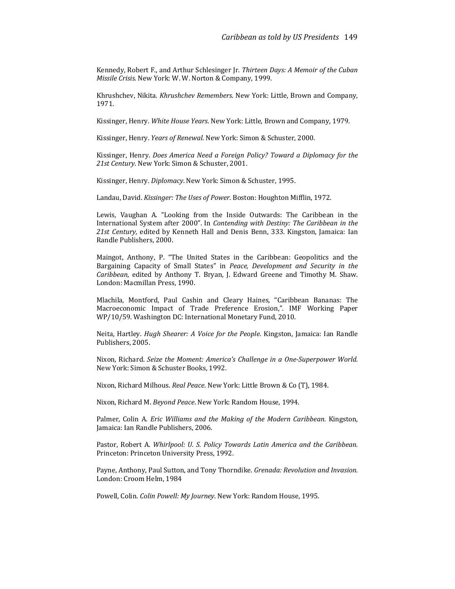Kennedy, Robert F., and Arthur Schlesinger Jr. Thirteen Days: A Memoir of the Cuban Missile Crisis. New York: W. W. Norton & Company, 1999.

Khrushchev, Nikita. Khrushchev Remembers. New York: Little, Brown and Company, 1971.

Kissinger, Henry. White House Years. New York: Little, Brown and Company, 1979.

Kissinger, Henry. Years of Renewal. New York: Simon & Schuster, 2000.

Kissinger, Henry. Does America Need a Foreign Policy? Toward a Diplomacy for the 21st Century. New York: Simon & Schuster, 2001.

Kissinger, Henry. Diplomacy. New York: Simon & Schuster, 1995.

Landau, David. Kissinger: The Uses of Power. Boston: Houghton Mifflin, 1972.

Lewis, Vaughan A. "Looking from the Inside Outwards: The Caribbean in the International System after 2000". In Contending with Destiny: The Caribbean in the 21st Century, edited by Kenneth Hall and Denis Benn, 333. Kingston, Jamaica: Ian Randle Publishers, 2000.

Maingot, Anthony, P. "The United States in the Caribbean: Geopolitics and the Bargaining Capacity of Small States" in Peace, Development and Security in the Caribbean, edited by Anthony T. Bryan, J. Edward Greene and Timothy M. Shaw. London: Macmillan Press, 1990.

Mlachila, Montford, Paul Cashin and Cleary Haines, "Caribbean Bananas: The Macroeconomic Impact of Trade Preference Erosion,". IMF Working Paper WP/10/59. Washington DC: International Monetary Fund, 2010.

Neita, Hartley. Hugh Shearer: A Voice for the People. Kingston, Jamaica: Ian Randle Publishers, 2005.

Nixon, Richard. Seize the Moment: America's Challenge in a One-Superpower World. New York: Simon & Schuster Books, 1992.

Nixon, Richard Milhous. Real Peace. New York: Little Brown & Co (T), 1984.

Nixon, Richard M. Beyond Peace. New York: Random House, 1994.

Palmer, Colin A. Eric Williams and the Making of the Modern Caribbean. Kingston, Jamaica: Ian Randle Publishers, 2006.

Pastor, Robert A. Whirlpool: U. S. Policy Towards Latin America and the Caribbean. Princeton: Princeton University Press, 1992.

Payne, Anthony, Paul Sutton, and Tony Thorndike. Grenada: Revolution and Invasion. London: Croom Helm, 1984

Powell, Colin. Colin Powell: My Journey. New York: Random House, 1995.